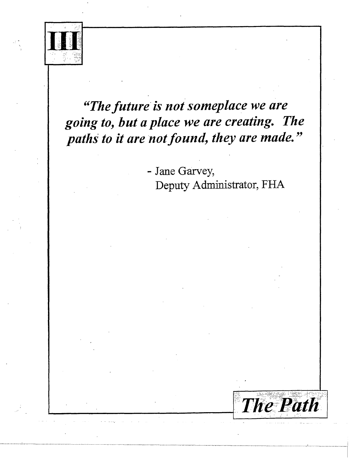

## "The future is not someplace we are going to, but a place we are creating. The paths to it are not found, they are made."

- Jane Garvey, Deputy Administrator, FHA

**The Path**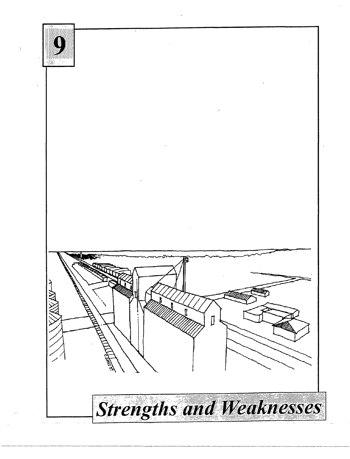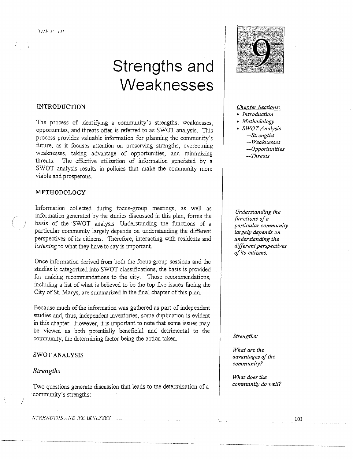# **Strengths and Weaknesses**

## INTRODUCTION

The process of identifying a community's strengths, weaknesses, opportunites, and threats often is referred to as SWOT analysis. This process provides valuable information for planning the community's future, as it focuses attention on preserving strengths, overcoming weaknesses, taking advantage of opportunities, and minimizing threats. The effective utilization of information generated by a SWOT analysis results in policies that make the community more viable and prosperous.

## METHODOLOGY

Information collected during focus-group meetings, as well as information generated by the studies discussed in *this* plan, forms the *)* basis of the SWOT analysis. Understanding the functions of a particular community largely depends on understanding the different perspectives of its citizens. Therefore, interacting with residents and *listening* to what they have to say is important.

Once information derived from both the focus-group sessions and the studies is categorized into SWOT classifications, the basis is provided for making recommendations to the city. Those recommendations, including a list of what is believed to be the top five issues facing the City of St. Marys, are summarized in the final chapter of this plan.

Because much of the information was gathered as part of independent studies and, thus, independent inventories, some duplication is evident in this chapter. However, it is important to note that some issues may be viewed as both potentially beneficial and detrimental to the community, the determining factor being the action taken.

## SWOT ANALYSIS

#### *Strengths*

Two questions generate discussion that leads to the determination of a ·community's strengths:



#### *Chapter Sections:*

- *Introduction*
- *Methodology*
- *SWOT Analysis -Strengths -Weaknesses* 
	- *-Opportunities*
	- *-Threats*

*Understanding the functions of a particular community largely depends on understanding the different perspectives of its citizens.* 

#### *Strengths:*

*What are the advantages of the community?* 

*What does the community do well?* 

STRENGTIIS AND WEAKNESSES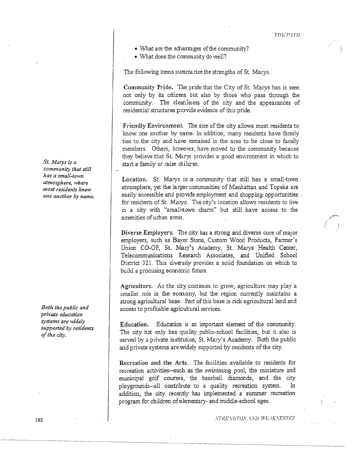;(::;~-:-*....*  (/

- What are the advantages of the community?
- What does the community do well?

The following items summarize the strengths of St. Marys.

Community Pride. The pride that the City of St. Marys has is seen not only by its citizens but also by those who pass through the community. The cleanliness of the city and the appearances of residential structures provide evidence of this pride.

Friendly Environment. The size of the city allows most residents to know one another by name. In addition, many residents have family ties to the city and have remained in the area to be close to family members. Others, however, have moved to the community because they believe that St. Marys provides a good environment in which to start a family or raise children.

Location. St. Marys is a community that still has a small-town atmosphere, yet the larger communities of Manhattan and Topeka are easily accessible and provide employment and shopping opportunities at for residents of St. Marys. The city's location allows residents to live in a city with "small-town charm" but still have access to the amenities of urban areas.

Diverse Employers. The city has a strong and diverse core of major employers, such as Bayer Stone, Custom Wood Products, Farmer's Union CO-OP, St. Mary's Academy, St. Marys Health Center, Telecommunications Research Associates, and Unified School District 321. This diversity provides a solid foundation on which to build a promising economic future.

Agriculture. As the city continues to grow, agriculture may play a smaller role in the economy, but the region currently maintains a strong agricultural base. Part of this base is rich agricultural land and access to profitable agricultural services.

Education. Education is an important element of the community. The city not only has quality public-school facilities, but it also is served by a private institution, St. Mary's Academy. Both the public and private systems are widely supported by residents of the city.

Recreation and the Arts. The facilities available to residents for recreation activities--such as the swimming pool, the miniature and municipal golf courses, the baseball diamonds, and the city playgrounds--all contribute to a quality recreation system. addition, the city recently has implemented a summer recreation program for children of elementary- and middle-school ages.

*St. Marys is a community that still has a small-town atmosphere, where most residents know one another by name.* 

*Both the public and private education systems are widely supported by residents of the city.* 

STRENGTHS. AND WEAKNESSES

102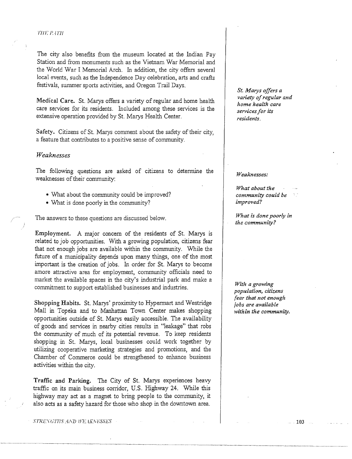#### THE PATH

The city also benefits from the museum located at the Indian Pay Station and from monuments such as the Viemam War Memorial and the World War I Memorial Arch. In addition, the city offers several local events, such as the Independence Day celebration, arts and crafts festivals, summer sports activities, and Oregon Trail Days.

Medical Care. St. Marys offers a variety of regular and home health care services for its residents. Included among these services is the extensive operation provided by St. Marys Health Center.

Safety. Citizens of St. Marys comment about the safety of their city, a feature that contributes to a positive sense of community.

## *Weaknesses*

The following questions are asked of citizens to determine the weaknesses of their community:

- What about the community could be improved?
- What is done poorly in the community?

The answers to these questions are discussed below.

Employment. A major concern of the residents of St. Marys is related to job opportunities. With a growing population, citizens fear that not enough jobs are available within the community. While the future of a municipality depends upon many things, one of the most important is the creation of jobs. In order for St. Marys to become amore attractive area for employment, community officials need to market the available spaces in the city's industrial park and make a commitment to support established businesses and industries.

Shopping Habits. St. Marys' proximity to Hypermart and Westridge Mall in Topeka and to Manhattan Town Center makes shopping opportunities outside of St. Marys easily accessible. The availability of goods and services in nearby cities results in "leakage" that robs the community of much of its potential revenue. To keep residents shopping in St. Marys, local businesses could work together by utilizing cooperative marketing strategies and promotions, and the Chamber of Commerce could be strengthened to enhance business activities within the city.

Traffic and Parking. The City of St. Marys experiences heavy traffic on its main business corridor, U.S. Highway 24. While this highway may act as a magnet to bring people to. the community, it also acts as a safety hazard for those who shop in the downtown area.

STRENGTHS AND WE UNESSES

*St. Marys offers a variet:y of regular and home health care services for its residents.* 

#### *Weaknesses:*

*What about the community could be improved?* 

*What is done poorly in the community?* 

*With a growing population, citizens fear that not enough ;obs are available within the community.* 

103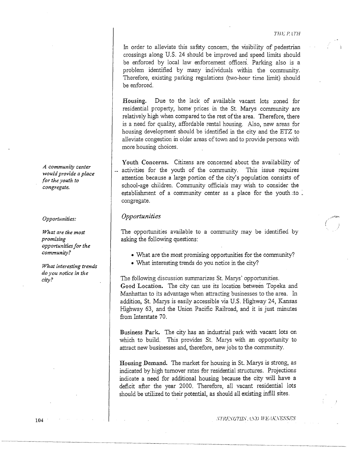(

In order to alleviate this safety concern, the visibility of pedestrian crossings along U.S. 24 should be improved and speed limits should be enforced by local law enforcement officers. Parking also is a problem identified by many individuals within the community. Therefore, existing parking regulations (two-hour time limit) should be enforced.

Housing. Due to the lack of available vacant lots zoned for residential property, home prices in the St. Marys community are relatively high when compared to the rest of the area. Therefore, there is a need for quality, affordable rental housing. Also, new areas for housing development should be identified in the city and the ETZ to alleviate congestion in older areas of town and to provide persons with more housing choices.

Youth Concerns. Citizens are concerned about the availability of activities for the youth of the community. This issue requires attention because a large portion of the city's population consists of school-age children. Community officials may wish to consider the establishment of a community center as a place for the youth to . congregate.

### *Opportunities*

The opportunities available to a community may be identified by asking the following questions:

- What are the most promising opportunities for the community?
- What interesting trends do you notice in the city?

The following discussion summarizes St. Marys' opportunities. Good Location. The city can use its location between Topeka and Manhattan to its advantage when attracting businesses to the area. In addition, St. Marys is easily accessible via U.S. Highway 24, Kansas Highway 63, and the Union Pacific Railroad, and it is just minutes from Interstate 70.

Business Park. The city has an industrial park with vacant lots on which to build. This provides St. Marys with an opportunity to attract new businesses and, therefore, new jobs to the community.

Housing Demand. The market for housing in St. Marys is strong, as indicated by high turnover rates for residential structures. Projections indicate a need for additional housing because the city will have a deficit after the year 2000. Therefore, all vacant residential lots should be utilized to their potential, as should all existing infill sites.

*A community center would provide a place for the youth to congregate.* 

#### *Opportunities:*

*What are the most promising opportunities for the community?* 

*What interesting trends do you notice in the cii:y?*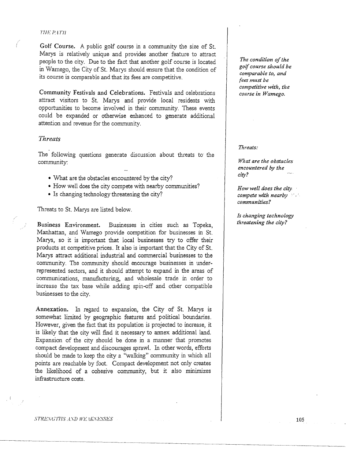#### n1r p.1 *rn*

Golf Course. A public golf course in a community the size of St. Marys is relatively unique and provides another feature to attract people to the city. Due to the fact that another golf course is located in Wamego, the City of St. Marys should ensure that the condition of its course is comparable and that its fees are competitive.

Community Festivals and Celebrations. Festivals and celebrations attract visitors to St. Marys and provide local residents with opportunities to become involved in their community. These events could be expanded or otherwise enhanced to generate additional attention and revenue for the community.

## *Threats*

The following questions generate discussion about threats to the community:

- What are the obstacles encountered by the city?
- How well does the city compete with nearby communities?
- Is changing technology threatening the city?

Threats to St. Marys are listed below.

Business Environment. Businesses in cities such as Topeka, Manhattan, and Wamego provide competition for businesses in St. Marys, so it is important that local businesses try to offer their products at competitive prices. It also is important that the City of St. Marys attract additional industrial and commercial businesses to the community. The community should encourage businesses in underrepresented sectors, and it should attempt to expand in the areas of communications, manufacturing, and wholesale trade in order to increase the tax base while adding spin-off and other compatible businesses to the city.

Annexation. In regard to expansion, the City of St. Marys is somewhat limited by geographic features and political boundaries. However, given the fact that its population is projected to increase, it is likely that the city will find it necessary to annex additional land. Expansion of the city should be done in a manner that promotes compact development and discourages sprawl. In other words, efforts should be made to keep the city a "walking" community in which all points are reachable by foot. Compact development not only creates the likelihood of a cohesive community, but it also minimizes infrastructure costs .

*The condition of the golf course should be comparable to, and fees must be competitive with, the course in Wamego.* 

*Threats:* 

*What are the obstacles encountered by the city?* 

*How well does the city compete with nearby •* . *communities?* 

*Is changing technology threatening the city?* 

#### $\label{eq:str} \begin{split} STRENGTTIS~AND~HE~lKNESES. \end{split}$